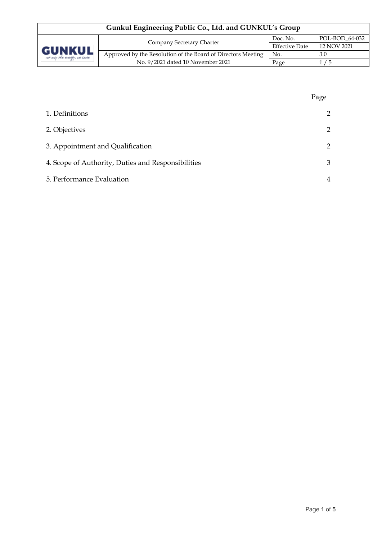| Gunkul Engineering Public Co., Ltd. and GUNKUL's Group |                                                              |                       |                |
|--------------------------------------------------------|--------------------------------------------------------------|-----------------------|----------------|
| <b>GUNKUL</b><br>ver only the everyly, we cane         | Company Secretary Charter                                    | Doc. No.              | POL-BOD 64-032 |
|                                                        |                                                              | <b>Effective Date</b> | 12 NOV 2021    |
|                                                        | Approved by the Resolution of the Board of Directors Meeting | No.                   | 3.0            |
|                                                        | No. 9/2021 dated 10 November 2021                            | Page                  | 1/5            |

|                                                    | Page           |
|----------------------------------------------------|----------------|
| 1. Definitions                                     | $\overline{2}$ |
| 2. Objectives                                      | $\overline{2}$ |
| 3. Appointment and Qualification                   | $\overline{2}$ |
| 4. Scope of Authority, Duties and Responsibilities | 3              |
| 5. Performance Evaluation                          | 4              |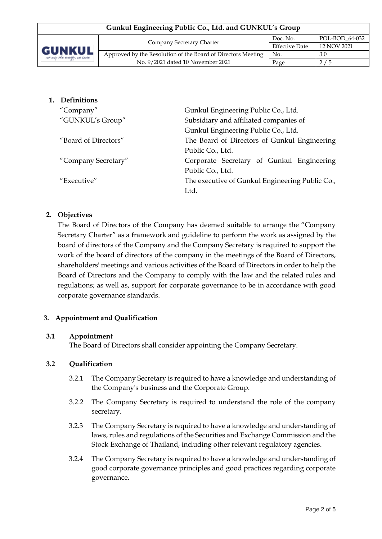| Gunkul Engineering Public Co., Ltd. and GUNKUL's Group |                                                              |                       |                |
|--------------------------------------------------------|--------------------------------------------------------------|-----------------------|----------------|
| <b>GUNKUL</b><br>ver only the everyly, we care         | Company Secretary Charter                                    | Doc. No.              | POL-BOD 64-032 |
|                                                        |                                                              | <b>Effective Date</b> | 12 NOV 2021    |
|                                                        | Approved by the Resolution of the Board of Directors Meeting | No.                   | 3.0            |
|                                                        | No. 9/2021 dated 10 November 2021                            | Page                  | 2/5            |

## **1. Definitions**

| "Company"            | Gunkul Engineering Public Co., Ltd.             |  |  |
|----------------------|-------------------------------------------------|--|--|
| "GUNKUL's Group"     | Subsidiary and affiliated companies of          |  |  |
|                      | Gunkul Engineering Public Co., Ltd.             |  |  |
| "Board of Directors" | The Board of Directors of Gunkul Engineering    |  |  |
|                      | Public Co., Ltd.                                |  |  |
| "Company Secretary"  | Corporate Secretary of Gunkul Engineering       |  |  |
|                      | Public Co., Ltd.                                |  |  |
| "Executive"          | The executive of Gunkul Engineering Public Co., |  |  |
|                      | Ltd.                                            |  |  |

#### **2. Objectives**

The Board of Directors of the Company has deemed suitable to arrange the "Company Secretary Charter" as a framework and guideline to perform the work as assigned by the board of directors of the Company and the Company Secretary is required to support the work of the board of directors of the company in the meetings of the Board of Directors, shareholders' meetings and various activities of the Board of Directors in order to help the Board of Directors and the Company to comply with the law and the related rules and regulations; as well as, support for corporate governance to be in accordance with good corporate governance standards.

# **3. Appointment and Qualification**

#### **3.1 Appointment**

The Board of Directors shall consider appointing the Company Secretary.

#### **3.2 Qualification**

- 3.2.1 The Company Secretary is required to have a knowledge and understanding of the Company's business and the Corporate Group.
- 3.2.2 The Company Secretary is required to understand the role of the company secretary.
- 3.2.3 The Company Secretary is required to have a knowledge and understanding of laws, rules and regulations of the Securities and Exchange Commission and the Stock Exchange of Thailand, including other relevant regulatory agencies.
- 3.2.4 The Company Secretary is required to have a knowledge and understanding of good corporate governance principles and good practices regarding corporate governance.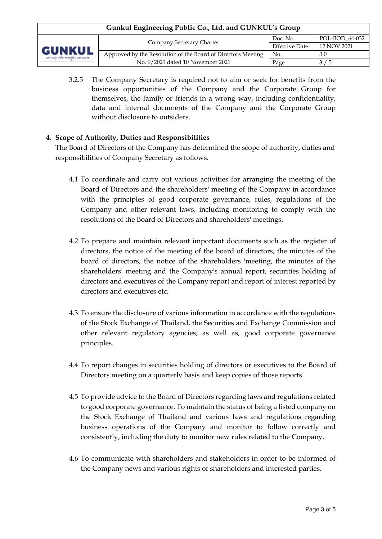| Gunkul Engineering Public Co., Ltd. and GUNKUL's Group |                                                              |                       |                |  |
|--------------------------------------------------------|--------------------------------------------------------------|-----------------------|----------------|--|
| <b>GUNKUL</b><br>ver only the everyly, we care         | Company Secretary Charter                                    | Doc. No.              | POL-BOD 64-032 |  |
|                                                        |                                                              | <b>Effective Date</b> | 12 NOV 2021    |  |
|                                                        | Approved by the Resolution of the Board of Directors Meeting | No.                   | 3.0            |  |
|                                                        | No. 9/2021 dated 10 November 2021                            | Page                  | 3/5            |  |

3.2.5 The Company Secretary is required not to aim or seek for benefits from the business opportunities of the Company and the Corporate Group for themselves, the family or friends in a wrong way, including confidentiality, data and internal documents of the Company and the Corporate Group without disclosure to outsiders

## **4. Scope of Authority, Duties and Responsibilities**

The Board of Directors of the Company has determined the scope of authority, duties and responsibilities of Company Secretary as follows.

- 4.1 To coordinate and carry out various activities for arranging the meeting of the Board of Directors and the shareholders' meeting of the Company in accordance with the principles of good corporate governance, rules, regulations of the Company and other relevant laws, including monitoring to comply with the resolutions of the Board of Directors and shareholders' meetings.
- 4.2 To prepare and maintain relevant important documents such as the register of directors, the notice of the meeting of the board of directors, the minutes of the board of directors, the notice of the shareholders 'meeting, the minutes of the shareholders' meeting and the Company's annual report, securities holding of directors and executives of the Company report and report of interest reported by directors and executives etc.
- 4.3 To ensure the disclosure of various information in accordance with the regulations of the Stock Exchange of Thailand, the Securities and Exchange Commission and other relevant regulatory agencies; as well as, good corporate governance principles.
- 4.4 To report changes in securities holding of directors or executives to the Board of Directors meeting on a quarterly basis and keep copies of those reports.
- 4.5 To provide advice to the Board of Directors regarding laws and regulations related to good corporate governance. To maintain the status of being a listed company on the Stock Exchange of Thailand and various laws and regulations regarding business operations of the Company and monitor to follow correctly and consistently, including the duty to monitor new rules related to the Company.
- 4.6 To communicate with shareholders and stakeholders in order to be informed of the Company news and various rights of shareholders and interested parties.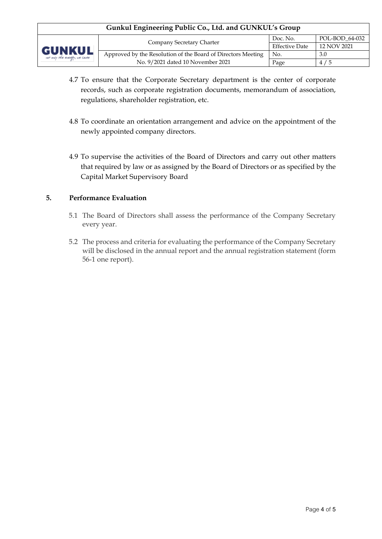# **Gunkul Engineering Public Co., Ltd. and GUNKUL's Group**



- 4.7 To ensure that the Corporate Secretary department is the center of corporate records, such as corporate registration documents, memorandum of association, regulations, shareholder registration, etc.
- 4.8 To coordinate an orientation arrangement and advice on the appointment of the newly appointed company directors.
- 4.9 To supervise the activities of the Board of Directors and carry out other matters that required by law or as assigned by the Board of Directors or as specified by the Capital Market Supervisory Board

## **5. Performance Evaluation**

- 5.1 The Board of Directors shall assess the performance of the Company Secretary every year.
- 5.2 The process and criteria for evaluating the performance of the Company Secretary will be disclosed in the annual report and the annual registration statement (form 56-1 one report).